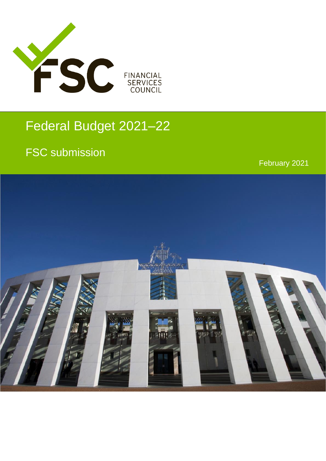

# Federal Budget 2021–22

## FSC submission

February 2021

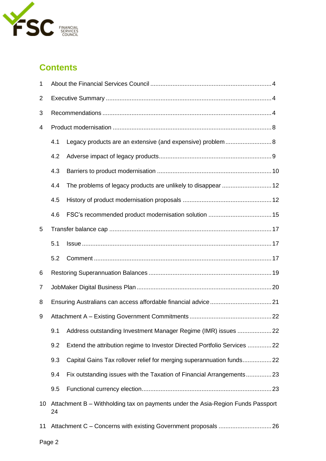

### **Contents**

| 1               |     |                                                                                 |  |  |  |
|-----------------|-----|---------------------------------------------------------------------------------|--|--|--|
| 2               |     |                                                                                 |  |  |  |
| 3               |     |                                                                                 |  |  |  |
| 4               |     |                                                                                 |  |  |  |
|                 | 4.1 |                                                                                 |  |  |  |
|                 | 4.2 |                                                                                 |  |  |  |
|                 | 4.3 |                                                                                 |  |  |  |
|                 | 4.4 |                                                                                 |  |  |  |
|                 | 4.5 |                                                                                 |  |  |  |
|                 | 4.6 |                                                                                 |  |  |  |
| 5               |     |                                                                                 |  |  |  |
|                 | 5.1 |                                                                                 |  |  |  |
|                 | 5.2 |                                                                                 |  |  |  |
| 6               |     |                                                                                 |  |  |  |
| 7               |     |                                                                                 |  |  |  |
| 8               |     |                                                                                 |  |  |  |
|                 |     |                                                                                 |  |  |  |
| 9               |     |                                                                                 |  |  |  |
|                 | 9.1 | Address outstanding Investment Manager Regime (IMR) issues 22                   |  |  |  |
|                 | 9.2 | Extend the attribution regime to Investor Directed Portfolio Services 22        |  |  |  |
|                 | 9.3 | Capital Gains Tax rollover relief for merging superannuation funds22            |  |  |  |
|                 | 9.4 | Fix outstanding issues with the Taxation of Financial Arrangements23            |  |  |  |
|                 | 9.5 |                                                                                 |  |  |  |
| 10 <sup>°</sup> | 24  | Attachment B – Withholding tax on payments under the Asia-Region Funds Passport |  |  |  |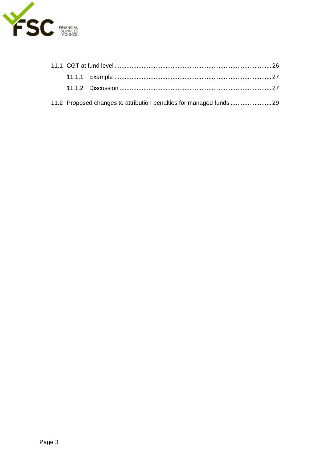

|  | 11.2 Proposed changes to attribution penalties for managed funds 29 |  |  |
|--|---------------------------------------------------------------------|--|--|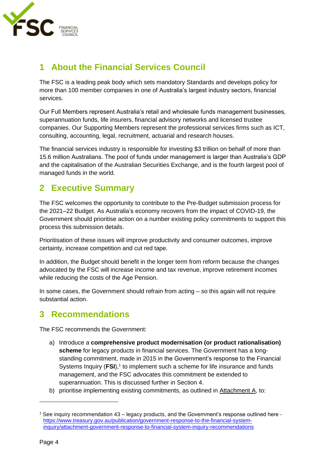

### <span id="page-3-0"></span>**1 About the Financial Services Council**

The FSC is a leading peak body which sets mandatory Standards and develops policy for more than 100 member companies in one of Australia's largest industry sectors, financial services.

Our Full Members represent Australia's retail and wholesale funds management businesses, superannuation funds, life insurers, financial advisory networks and licensed trustee companies. Our Supporting Members represent the professional services firms such as ICT, consulting, accounting, legal, recruitment, actuarial and research houses.

The financial services industry is responsible for investing \$3 trillion on behalf of more than 15.6 million Australians. The pool of funds under management is larger than Australia's GDP and the capitalisation of the Australian Securities Exchange, and is the fourth largest pool of managed funds in the world.

### <span id="page-3-1"></span>**2 Executive Summary**

The FSC welcomes the opportunity to contribute to the Pre-Budget submission process for the 2021–22 Budget. As Australia's economy recovers from the impact of COVID-19, the Government should prioritise action on a number existing policy commitments to support this process this submission details.

Prioritisation of these issues will improve productivity and consumer outcomes, improve certainty, increase competition and cut red tape.

In addition, the Budget should benefit in the longer term from reform because the changes advocated by the FSC will increase income and tax revenue, improve retirement incomes while reducing the costs of the Age Pension.

In some cases, the Government should refrain from acting – so this again will not require substantial action.

### <span id="page-3-2"></span>**3 Recommendations**

The FSC recommends the Government:

- a) Introduce a **comprehensive product modernisation (or product rationalisation) scheme** for legacy products in financial services. The Government has a longstanding commitment, made in 2015 in the Government's response to the Financial Systems Inquiry (FSI),<sup>1</sup> to implement such a scheme for life insurance and funds management, and the FSC advocates this commitment be extended to superannuation. This is discussed further in Section 4.
- b) prioritise implementing existing commitments, as outlined in Attachment A, to:

<sup>1</sup> See inquiry recommendation 43 – legacy products, and the Government's response outlined here [https://www.treasury.gov.au/publication/government-response-to-the-financial-system](https://www.treasury.gov.au/publication/government-response-to-the-financial-system-inquiry/attachment-government-response-to-financial-system-inquiry-recommendations)[inquiry/attachment-government-response-to-financial-system-inquiry-recommendations](https://www.treasury.gov.au/publication/government-response-to-the-financial-system-inquiry/attachment-government-response-to-financial-system-inquiry-recommendations)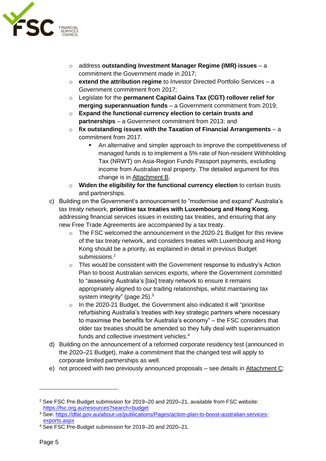

- o address **outstanding Investment Manager Regime (IMR) issues** a commitment the Government made in 2017;
- o **extend the attribution regime** to Investor Directed Portfolio Services a Government commitment from 2017;
- o Legislate for the **permanent Capital Gains Tax (CGT) rollover relief for merging superannuation funds** – a Government commitment from 2019;
- o **Expand the functional currency election to certain trusts and partnerships** – a Government commitment from 2013; and
- o **fix outstanding issues with the Taxation of Financial Arrangements** a commitment from 2017.
	- An alternative and simpler approach to improve the competitiveness of managed funds is to implement a 5% rate of Non-resident Withholding Tax (NRWT) on Asia-Region Funds Passport payments, excluding income from Australian real property. The detailed argument for this change is in Attachment B.
- o **Widen the eligibility for the functional currency election** to certain trusts and partnerships.
- c) Building on the Government's announcement to "modernise and expand" Australia's tax treaty network, **prioritise tax treaties with Luxembourg and Hong Kong**, addressing financial services issues in existing tax treaties, and ensuring that any new Free Trade Agreements are accompanied by a tax treaty.
	- o The FSC welcomed the announcement in the 2020-21 Budget for this review of the tax treaty network, and considers treaties with Luxembourg and Hong Kong should be a priority, as explained in detail in previous Budget submissions.<sup>2</sup>
	- o This would be consistent with the Government response to industry's Action Plan to boost Australian services exports, where the Government committed to "assessing Australia's [tax] treaty network to ensure it remains appropriately aligned to our trading relationships, whilst maintaining tax system integrity" (page 25).<sup>3</sup>
	- o In the 2020-21 Budget, the Government also indicated it will "prioritise refurbishing Australia's treaties with key strategic partners where necessary to maximise the benefits for Australia's economy" – the FSC considers that older tax treaties should be amended so they fully deal with superannuation funds and collective investment vehicles.<sup>4</sup>
- d) Building on the announcement of a reformed corporate residency test (announced in the 2020–21 Budget), make a commitment that the changed test will apply to corporate limited partnerships as well.
- <span id="page-4-0"></span>e) not proceed with two previously announced proposals – see details in Attachment C:

<sup>2</sup> See FSC Pre-Budget submission for 2019–20 and 2020–21, available from FSC website: <https://fsc.org.au/resources?search=budget>

<sup>3</sup> See: [https://dfat.gov.au/about-us/publications/Pages/action-plan-to-boost-australian-services](https://dfat.gov.au/about-us/publications/Pages/action-plan-to-boost-australian-services-exports.aspx)[exports.aspx](https://dfat.gov.au/about-us/publications/Pages/action-plan-to-boost-australian-services-exports.aspx)

<sup>4</sup> See FSC Pre-Budget submission for 2019–20 and 2020–21.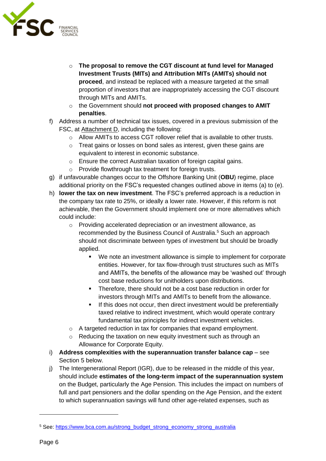

- o **The proposal to remove the CGT discount at fund level for Managed Investment Trusts (MITs) and Attribution MITs (AMITs) should not proceed**, and instead be replaced with a measure targeted at the small proportion of investors that are inappropriately accessing the CGT discount through MITs and AMITs.
- o the Government should **not proceed with proposed changes to AMIT penalties**.
- f) Address a number of technical tax issues, covered in a previous submission of the FSC, at Attachment D, including the following:
	- $\circ$  Allow AMITs to access CGT rollover relief that is available to other trusts.
	- o Treat gains or losses on bond sales as interest, given these gains are equivalent to interest in economic substance.
	- o Ensure the correct Australian taxation of foreign capital gains.
	- o Provide flowthrough tax treatment for foreign trusts.
- g) if unfavourable changes occur to the Offshore Banking Unit (**OBU**) regime, place additional priority on the FSC's requested changes outlined above in items (a) to (e).
- h) **lower the tax on new investment**. The FSC's preferred approach is a reduction in the company tax rate to 25%, or ideally a lower rate. However, if this reform is not achievable, then the Government should implement one or more alternatives which could include:
	- o Providing accelerated depreciation or an investment allowance, as recommended by the Business Council of Australia.<sup>5</sup> Such an approach should not discriminate between types of investment but should be broadly applied.
		- We note an investment allowance is simple to implement for corporate entities. However, for tax flow-through trust structures such as MITs and AMITs, the benefits of the allowance may be 'washed out' through cost base reductions for unitholders upon distributions.
		- Therefore, there should not be a cost base reduction in order for investors through MITs and AMITs to benefit from the allowance.
		- **EXECUTE:** If this does not occur, then direct investment would be preferentially taxed relative to indirect investment, which would operate contrary fundamental tax principles for indirect investment vehicles.
	- o A targeted reduction in tax for companies that expand employment.
	- $\circ$  Reducing the taxation on new equity investment such as through an Allowance for Corporate Equity.
- i) **Address complexities with the superannuation transfer balance cap** see Section [5 below.](#page-16-0)
- j) The Intergenerational Report (IGR), due to be released in the middle of this year, should include **estimates of the long-term impact of the superannuation system** on the Budget, particularly the Age Pension. This includes the impact on numbers of full and part pensioners and the dollar spending on the Age Pension, and the extent to which superannuation savings will fund other age-related expenses, such as

<sup>5</sup> See: [https://www.bca.com.au/strong\\_budget\\_strong\\_economy\\_strong\\_australia](https://www.bca.com.au/strong_budget_strong_economy_strong_australia)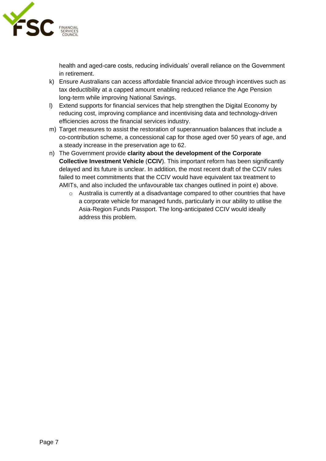

health and aged-care costs, reducing individuals' overall reliance on the Government in retirement.

- k) Ensure Australians can access affordable financial advice through incentives such as tax deductibility at a capped amount enabling reduced reliance the Age Pension long-term while improving National Savings.
- l) Extend supports for financial services that help strengthen the Digital Economy by reducing cost, improving compliance and incentivising data and technology-driven efficiencies across the financial services industry.
- m) Target measures to assist the restoration of superannuation balances that include a co-contribution scheme, a concessional cap for those aged over 50 years of age, and a steady increase in the preservation age to 62.
- n) The Government provide **clarity about the development of the Corporate Collective Investment Vehicle** (**CCIV**). This important reform has been significantly delayed and its future is unclear. In addition, the most recent draft of the CCIV rules failed to meet commitments that the CCIV would have equivalent tax treatment to AMITs, and also included the unfavourable tax changes outlined in point [e\) above.](#page-4-0)
	- o Australia is currently at a disadvantage compared to other countries that have a corporate vehicle for managed funds, particularly in our ability to utilise the Asia-Region Funds Passport. The long-anticipated CCIV would ideally address this problem.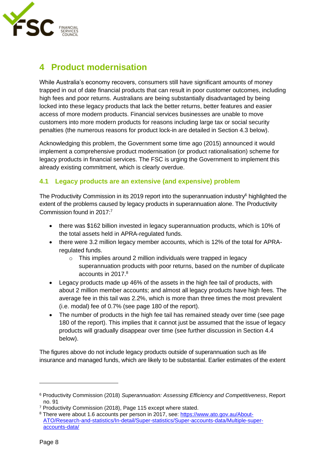

### <span id="page-7-0"></span>**4 Product modernisation**

While Australia's economy recovers, consumers still have significant amounts of money trapped in out of date financial products that can result in poor customer outcomes, including high fees and poor returns. Australians are being substantially disadvantaged by being locked into these legacy products that lack the better returns, better features and easier access of more modern products. Financial services businesses are unable to move customers into more modern products for reasons including large tax or social security penalties (the numerous reasons for product lock-in are detailed in Section [4.3 below\)](#page-9-0).

Acknowledging this problem, the Government some time ago (2015) announced it would implement a comprehensive product modernisation (or product rationalisation) scheme for legacy products in financial services. The FSC is urging the Government to implement this already existing commitment, which is clearly overdue.

### <span id="page-7-1"></span>**4.1 Legacy products are an extensive (and expensive) problem**

The Productivity Commission in its 2019 report into the superannuation industry $6$  highlighted the extent of the problems caused by legacy products in superannuation alone. The Productivity Commission found in 2017: 7

- there was \$162 billion invested in legacy superannuation products, which is 10% of the total assets held in APRA-regulated funds.
- there were 3.2 million legacy member accounts, which is 12% of the total for APRAregulated funds.
	- $\circ$  This implies around 2 million individuals were trapped in legacy superannuation products with poor returns, based on the number of duplicate accounts in 2017. 8
- Legacy products made up 46% of the assets in the high fee tail of products, with about 2 million member accounts; and almost all legacy products have high fees. The average fee in this tail was 2.2%, which is more than three times the most prevalent (i.e. modal) fee of 0.7% (see page 180 of the report).
- The number of products in the high fee tail has remained steady over time (see page 180 of the report). This implies that it cannot just be assumed that the issue of legacy products will gradually disappear over time (see further discussion in Section [4.4](#page-11-0)  [below\)](#page-11-0).

The figures above do not include legacy products outside of superannuation such as life insurance and managed funds, which are likely to be substantial. Earlier estimates of the extent

<sup>6</sup> Productivity Commission (2018) *Superannuation: Assessing Efficiency and Competitiveness*, Report no. 91

<sup>7</sup> Productivity Commission (2018), Page 115 except where stated.

<sup>8</sup> There were about 1.6 accounts per person in 2017, see: [https://www.ato.gov.au/About-](https://www.ato.gov.au/About-ATO/Research-and-statistics/In-detail/Super-statistics/Super-accounts-data/Multiple-super-accounts-data/)[ATO/Research-and-statistics/In-detail/Super-statistics/Super-accounts-data/Multiple-super](https://www.ato.gov.au/About-ATO/Research-and-statistics/In-detail/Super-statistics/Super-accounts-data/Multiple-super-accounts-data/)[accounts-data/](https://www.ato.gov.au/About-ATO/Research-and-statistics/In-detail/Super-statistics/Super-accounts-data/Multiple-super-accounts-data/)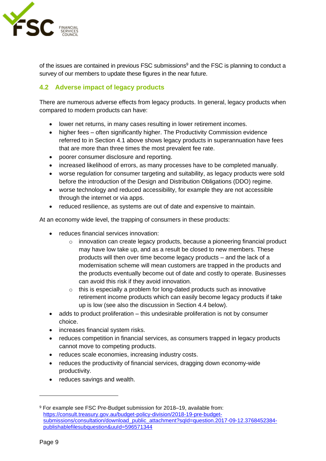

of the issues are contained in previous FSC submissions<sup>9</sup> and the FSC is planning to conduct a survey of our members to update these figures in the near future.

### <span id="page-8-0"></span>**4.2 Adverse impact of legacy products**

There are numerous adverse effects from legacy products. In general, legacy products when compared to modern products can have:

- lower net returns, in many cases resulting in lower retirement incomes.
- higher fees often significantly higher. The Productivity Commission evidence referred to in Section [4.1 above](#page-7-1) shows legacy products in superannuation have fees that are more than three times the most prevalent fee rate.
- poorer consumer disclosure and reporting.
- increased likelihood of errors, as many processes have to be completed manually.
- worse regulation for consumer targeting and suitability, as legacy products were sold before the introduction of the Design and Distribution Obligations (DDO) regime.
- worse technology and reduced accessibility, for example they are not accessible through the internet or via apps.
- reduced resilience, as systems are out of date and expensive to maintain.

At an economy wide level, the trapping of consumers in these products:

- reduces financial services innovation:
	- o innovation can create legacy products, because a pioneering financial product may have low take up, and as a result be closed to new members. These products will then over time become legacy products – and the lack of a modernisation scheme will mean customers are trapped in the products and the products eventually become out of date and costly to operate. Businesses can avoid this risk if they avoid innovation.
	- $\circ$  this is especially a problem for long-dated products such as innovative retirement income products which can easily become legacy products if take up is low (see also the discussion in Section [4.4 below\)](#page-11-0).
- adds to product proliferation this undesirable proliferation is not by consumer choice.
- increases financial system risks.
- reduces competition in financial services, as consumers trapped in legacy products cannot move to competing products.
- reduces scale economies, increasing industry costs.
- reduces the productivity of financial services, dragging down economy-wide productivity.
- reduces savings and wealth.

<sup>9</sup> For example see FSC Pre-Budget submission for 2018–19, available from: [https://consult.treasury.gov.au/budget-policy-division/2018-19-pre-budget](https://consult.treasury.gov.au/budget-policy-division/2018-19-pre-budget-submissions/consultation/download_public_attachment?sqId=question.2017-09-12.3768452384-publishablefilesubquestion&uuId=596571344)[submissions/consultation/download\\_public\\_attachment?sqId=question.2017-09-12.3768452384](https://consult.treasury.gov.au/budget-policy-division/2018-19-pre-budget-submissions/consultation/download_public_attachment?sqId=question.2017-09-12.3768452384-publishablefilesubquestion&uuId=596571344) [publishablefilesubquestion&uuId=596571344](https://consult.treasury.gov.au/budget-policy-division/2018-19-pre-budget-submissions/consultation/download_public_attachment?sqId=question.2017-09-12.3768452384-publishablefilesubquestion&uuId=596571344)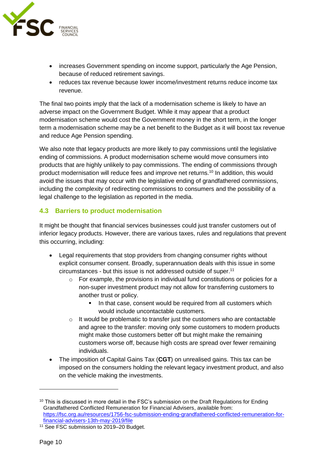

- increases Government spending on income support, particularly the Age Pension, because of reduced retirement savings.
- reduces tax revenue because lower income/investment returns reduce income tax revenue.

The final two points imply that the lack of a modernisation scheme is likely to have an adverse impact on the Government Budget. While it may appear that a product modernisation scheme would cost the Government money in the short term, in the longer term a modernisation scheme may be a net benefit to the Budget as it will boost tax revenue and reduce Age Pension spending.

We also note that legacy products are more likely to pay commissions until the legislative ending of commissions. A product modernisation scheme would move consumers into products that are highly unlikely to pay commissions. The ending of commissions through product modernisation will reduce fees and improve net returns.<sup>10</sup> In addition, this would avoid the issues that may occur with the legislative ending of grandfathered commissions, including the complexity of redirecting commissions to consumers and the possibility of a legal challenge to the legislation as reported in the media.

### <span id="page-9-0"></span>**4.3 Barriers to product modernisation**

It might be thought that financial services businesses could just transfer customers out of inferior legacy products. However, there are various taxes, rules and regulations that prevent this occurring, including:

- Legal requirements that stop providers from changing consumer rights without explicit consumer consent. Broadly, superannuation deals with this issue in some circumstances - but this issue is not addressed outside of super. 11
	- $\circ$  For example, the provisions in individual fund constitutions or policies for a non-super investment product may not allow for transferring customers to another trust or policy.
		- In that case, consent would be required from all customers which would include uncontactable customers.
	- o It would be problematic to transfer just the customers who are contactable and agree to the transfer: moving only some customers to modern products might make those customers better off but might make the remaining customers worse off, because high costs are spread over fewer remaining individuals.
- The imposition of Capital Gains Tax (**CGT**) on unrealised gains. This tax can be imposed on the consumers holding the relevant legacy investment product, and also on the vehicle making the investments.

<sup>&</sup>lt;sup>10</sup> This is discussed in more detail in the FSC's submission on the Draft Regulations for Ending Grandfathered Conflicted Remuneration for Financial Advisers, available from: [https://fsc.org.au/resources/1756-fsc-submission-ending-grandfathered-conflicted-remuneration-for](https://fsc.org.au/resources/1756-fsc-submission-ending-grandfathered-conflicted-remuneration-for-financial-advisers-13th-may-2019/file)[financial-advisers-13th-may-2019/file](https://fsc.org.au/resources/1756-fsc-submission-ending-grandfathered-conflicted-remuneration-for-financial-advisers-13th-may-2019/file)

<sup>11</sup> See FSC submission to 2019–20 Budget.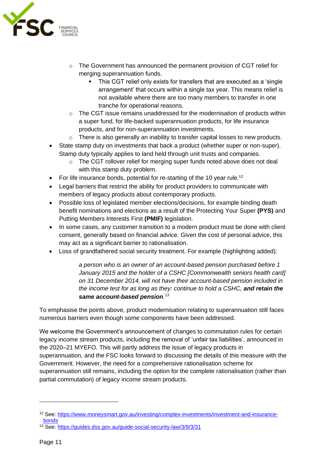

- $\circ$  The Government has announced the permanent provision of CGT relief for merging superannuation funds.
	- This CGT relief only exists for transfers that are executed as a 'single arrangement' that occurs within a single tax year. This means relief is not available where there are too many members to transfer in one tranche for operational reasons.
- $\circ$  The CGT issue remains unaddressed for the modernisation of products within a super fund, for life-backed superannuation products, for life insurance products, and for non-superannuation investments.
- o There is also generally an inability to transfer capital losses to new products.
- State stamp duty on investments that back a product (whether super or non-super). Stamp duty typically applies to land held through unit trusts and companies.
	- o The CGT rollover relief for merging super funds noted above does not deal with this stamp duty problem.
- For life insurance bonds, potential for re-starting of the 10 year rule.<sup>12</sup>
- Legal barriers that restrict the ability for product providers to communicate with members of legacy products about contemporary products.
- Possible loss of legislated member elections/decisions, for example binding death benefit nominations and elections as a result of the Protecting Your Super **(PYS)** and Putting Members Interests First **(PMIF)** legislation.
- In some cases, any customer transition to a modern product must be done with client consent, generally based on financial advice. Given the cost of personal advice, this may act as a significant barrier to rationalisation.
- Loss of grandfathered social security treatment. For example (highlighting added):

*a person who is an owner of an account-based pension purchased before 1 January 2015 and the holder of a CSHC [Commonwealth seniors health card] on 31 December 2014, will not have their account-based pension included in the income test for as long as they: continue to hold a CSHC, and retain the same account-based pension. 13*

To emphasise the points above, product modernisation relating to superannuation still faces numerous barriers even though some components have been addressed.

We welcome the Government's announcement of changes to commutation rules for certain legacy income stream products, including the removal of 'unfair tax liabilities', announced in the 2020–21 MYEFO. This will partly address the issue of legacy products in superannuation, and the FSC looks forward to discussing the details of this measure with the Government. However, the need for a comprehensive rationalisation scheme for superannuation still remains, including the option for the complete rationalisation (rather than partial commutation) of legacy income stream products.

<sup>12</sup> See: [https://www.moneysmart.gov.au/investing/complex-investments/investment-and-insurance](https://www.moneysmart.gov.au/investing/complex-investments/investment-and-insurance-bonds)[bonds](https://www.moneysmart.gov.au/investing/complex-investments/investment-and-insurance-bonds)

<sup>13</sup> See:<https://guides.dss.gov.au/guide-social-security-law/3/9/3/31>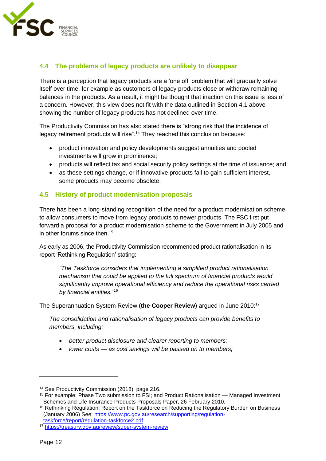

### <span id="page-11-0"></span>**4.4 The problems of legacy products are unlikely to disappear**

There is a perception that legacy products are a 'one off' problem that will gradually solve itself over time, for example as customers of legacy products close or withdraw remaining balances in the products. As a result, it might be thought that inaction on this issue is less of a concern. However, this view does not fit with the data outlined in Section [4.1](#page-7-1) above showing the number of legacy products has not declined over time.

The Productivity Commission has also stated there is "strong risk that the incidence of legacy retirement products will rise".<sup>14</sup> They reached this conclusion because:

- product innovation and policy developments suggest annuities and pooled investments will grow in prominence;
- products will reflect tax and social security policy settings at the time of issuance; and
- as these settings change, or if innovative products fail to gain sufficient interest, some products may become obsolete.

### <span id="page-11-1"></span>**4.5 History of product modernisation proposals**

There has been a long-standing recognition of the need for a product modernisation scheme to allow consumers to move from legacy products to newer products. The FSC first put forward a proposal for a product modernisation scheme to the Government in July 2005 and in other forums since then. 15

As early as 2006, the Productivity Commission recommended product rationalisation in its report 'Rethinking Regulation' stating:

*"The Taskforce considers that implementing a simplified product rationalisation mechanism that could be applied to the full spectrum of financial products would significantly improve operational efficiency and reduce the operational risks carried by financial entities."<sup>16</sup>*

The Superannuation System Review (**the Cooper Review**) argued in June 2010: 17

*The consolidation and rationalisation of legacy products can provide benefits to members, including:* 

- *better product disclosure and clearer reporting to members;*
- *lower costs — as cost savings will be passed on to members;*

<sup>&</sup>lt;sup>14</sup> See Productivity Commission (2018), page 216.

<sup>&</sup>lt;sup>15</sup> For example: Phase Two submission to FSI; and Product Rationalisation — Managed Investment Schemes and Life Insurance Products Proposals Paper, 26 February 2010.

<sup>&</sup>lt;sup>16</sup> Rethinking Regulation: Report on the Taskforce on Reducing the Regulatory Burden on Business (January 2006) See: [https://www.pc.gov.au/research/supporting/regulation](https://www.pc.gov.au/research/supporting/regulation-taskforce/report/regulation-taskforce2.pdf)[taskforce/report/regulation-taskforce2.pdf](https://www.pc.gov.au/research/supporting/regulation-taskforce/report/regulation-taskforce2.pdf) 

<sup>17</sup> <https://treasury.gov.au/review/super-system-review>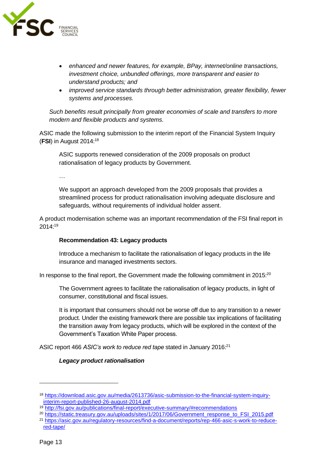

- *enhanced and newer features, for example, BPay, internet/online transactions, investment choice, unbundled offerings, more transparent and easier to understand products; and*
- *improved service standards through better administration, greater flexibility, fewer systems and processes.*

*Such benefits result principally from greater economies of scale and transfers to more modern and flexible products and systems.*

ASIC made the following submission to the interim report of the Financial System Inquiry (**FSI**) in August 2014: 18

ASIC supports renewed consideration of the 2009 proposals on product rationalisation of legacy products by Government.

…

We support an approach developed from the 2009 proposals that provides a streamlined process for product rationalisation involving adequate disclosure and safeguards, without requirements of individual holder assent.

A product modernisation scheme was an important recommendation of the FSI final report in 2014:<sup>19</sup>

### **Recommendation 43: Legacy products**

Introduce a mechanism to facilitate the rationalisation of legacy products in the life insurance and managed investments sectors.

In response to the final report, the Government made the following commitment in 2015:<sup>20</sup>

The Government agrees to facilitate the rationalisation of legacy products, in light of consumer, constitutional and fiscal issues.

It is important that consumers should not be worse off due to any transition to a newer product. Under the existing framework there are possible tax implications of facilitating the transition away from legacy products, which will be explored in the context of the Government's Taxation White Paper process.

ASIC report 466 *ASIC's work to reduce red tape* stated in January 2016:<sup>21</sup>

### *Legacy product rationalisation*

<sup>18</sup> [https://download.asic.gov.au/media/2613736/asic-submission-to-the-financial-system-inquiry](https://download.asic.gov.au/media/2613736/asic-submission-to-the-financial-system-inquiry-interim-report-published-26-august-2014.pdf)[interim-report-published-26-august-2014.pdf](https://download.asic.gov.au/media/2613736/asic-submission-to-the-financial-system-inquiry-interim-report-published-26-august-2014.pdf)

<sup>19</sup> <http://fsi.gov.au/publications/final-report/executive-summary/#recommendations>

<sup>&</sup>lt;sup>20</sup> [https://static.treasury.gov.au/uploads/sites/1/2017/06/Government\\_response\\_to\\_FSI\\_2015.pdf](https://static.treasury.gov.au/uploads/sites/1/2017/06/Government_response_to_FSI_2015.pdf)

<sup>21</sup> [https://asic.gov.au/regulatory-resources/find-a-document/reports/rep-466-asic-s-work-to-reduce](https://asic.gov.au/regulatory-resources/find-a-document/reports/rep-466-asic-s-work-to-reduce-red-tape/)[red-tape/](https://asic.gov.au/regulatory-resources/find-a-document/reports/rep-466-asic-s-work-to-reduce-red-tape/)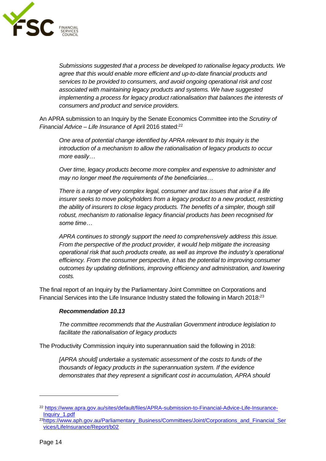

*Submissions suggested that a process be developed to rationalise legacy products. We agree that this would enable more efficient and up-to-date financial products and services to be provided to consumers, and avoid ongoing operational risk and cost associated with maintaining legacy products and systems. We have suggested implementing a process for legacy product rationalisation that balances the interests of consumers and product and service providers.*

An APRA submission to an Inquiry by the Senate Economics Committee into the *Scrutiny of Financial Advice – Life Insurance* of April 2016 stated:<sup>22</sup>

*One area of potential change identified by APRA relevant to this Inquiry is the introduction of a mechanism to allow the rationalisation of legacy products to occur more easily…*

*Over time, legacy products become more complex and expensive to administer and may no longer meet the requirements of the beneficiaries…*

*There is a range of very complex legal, consumer and tax issues that arise if a life insurer seeks to move policyholders from a legacy product to a new product, restricting the ability of insurers to close legacy products. The benefits of a simpler, though still robust, mechanism to rationalise legacy financial products has been recognised for some time…*

*APRA continues to strongly support the need to comprehensively address this issue. From the perspective of the product provider, it would help mitigate the increasing operational risk that such products create, as well as improve the industry's operational efficiency. From the consumer perspective, it has the potential to improving consumer outcomes by updating definitions, improving efficiency and administration, and lowering costs.*

The final report of an Inquiry by the Parliamentary Joint Committee on Corporations and Financial Services into the Life Insurance Industry stated the following in March 2018:<sup>23</sup>

#### *Recommendation 10.13*

*The committee recommends that the Australian Government introduce legislation to facilitate the rationalisation of legacy products* 

The Productivity Commission inquiry into superannuation said the following in 2018:

*[APRA should] undertake a systematic assessment of the costs to funds of the thousands of legacy products in the superannuation system. If the evidence demonstrates that they represent a significant cost in accumulation, APRA should* 

<sup>22</sup> [https://www.apra.gov.au/sites/default/files/APRA-submission-to-Financial-Advice-Life-Insurance-](https://www.apra.gov.au/sites/default/files/APRA-submission-to-Financial-Advice-Life-Insurance-Inquiry_1.pdf)[Inquiry\\_1.pdf](https://www.apra.gov.au/sites/default/files/APRA-submission-to-Financial-Advice-Life-Insurance-Inquiry_1.pdf)

<sup>&</sup>lt;sup>23</sup>[https://www.aph.gov.au/Parliamentary\\_Business/Committees/Joint/Corporations\\_and\\_Financial\\_Ser](https://www.aph.gov.au/Parliamentary_Business/Committees/Joint/Corporations_and_Financial_Services/LifeInsurance/Report/b02) [vices/LifeInsurance/Report/b02](https://www.aph.gov.au/Parliamentary_Business/Committees/Joint/Corporations_and_Financial_Services/LifeInsurance/Report/b02)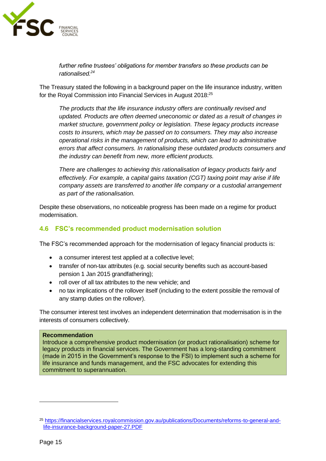

*further refine trustees' obligations for member transfers so these products can be rationalised.<sup>24</sup>*

The Treasury stated the following in a background paper on the life insurance industry, written for the Royal Commission into Financial Services in August 2018:<sup>25</sup>

*The products that the life insurance industry offers are continually revised and updated. Products are often deemed uneconomic or dated as a result of changes in market structure, government policy or legislation. These legacy products increase costs to insurers, which may be passed on to consumers. They may also increase operational risks in the management of products, which can lead to administrative errors that affect consumers. In rationalising these outdated products consumers and the industry can benefit from new, more efficient products.* 

*There are challenges to achieving this rationalisation of legacy products fairly and effectively. For example, a capital gains taxation (CGT) taxing point may arise if life company assets are transferred to another life company or a custodial arrangement as part of the rationalisation.*

Despite these observations, no noticeable progress has been made on a regime for product modernisation.

### <span id="page-14-0"></span>**4.6 FSC's recommended product modernisation solution**

The FSC's recommended approach for the modernisation of legacy financial products is:

- a consumer interest test applied at a collective level;
- transfer of non-tax attributes (e.g. social security benefits such as account-based pension 1 Jan 2015 grandfathering);
- roll over of all tax attributes to the new vehicle; and
- no tax implications of the rollover itself (including to the extent possible the removal of any stamp duties on the rollover).

The consumer interest test involves an independent determination that modernisation is in the interests of consumers collectively.

#### **Recommendation**

Introduce a comprehensive product modernisation (or product rationalisation) scheme for legacy products in financial services. The Government has a long-standing commitment (made in 2015 in the Government's response to the FSI) to implement such a scheme for life insurance and funds management, and the FSC advocates for extending this commitment to superannuation.

<sup>25</sup> [https://financialservices.royalcommission.gov.au/publications/Documents/reforms-to-general-and](https://financialservices.royalcommission.gov.au/publications/Documents/reforms-to-general-and-life-insurance-background-paper-27.PDF)[life-insurance-background-paper-27.PDF](https://financialservices.royalcommission.gov.au/publications/Documents/reforms-to-general-and-life-insurance-background-paper-27.PDF)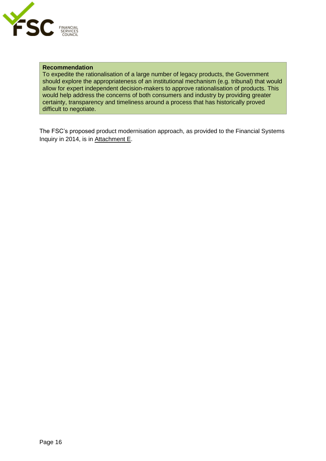

#### **Recommendation**

To expedite the rationalisation of a large number of legacy products, the Government should explore the appropriateness of an institutional mechanism (e.g. tribunal) that would allow for expert independent decision-makers to approve rationalisation of products. This would help address the concerns of both consumers and industry by providing greater certainty, transparency and timeliness around a process that has historically proved difficult to negotiate.

The FSC's proposed product modernisation approach, as provided to the Financial Systems Inquiry in 2014, is in Attachment E.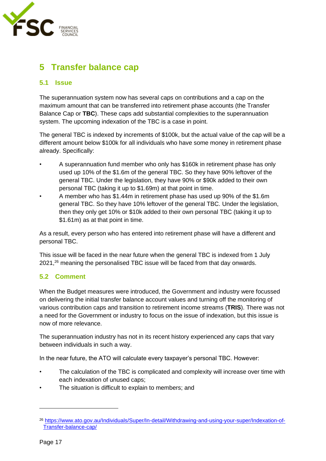

### <span id="page-16-0"></span>**5 Transfer balance cap**

### <span id="page-16-1"></span>**5.1 Issue**

The superannuation system now has several caps on contributions and a cap on the maximum amount that can be transferred into retirement phase accounts (the Transfer Balance Cap or **TBC**). These caps add substantial complexities to the superannuation system. The upcoming indexation of the TBC is a case in point.

The general TBC is indexed by increments of \$100k, but the actual value of the cap will be a different amount below \$100k for all individuals who have some money in retirement phase already. Specifically:

- A superannuation fund member who only has \$160k in retirement phase has only used up 10% of the \$1.6m of the general TBC. So they have 90% leftover of the general TBC. Under the legislation, they have 90% or \$90k added to their own personal TBC (taking it up to \$1.69m) at that point in time.
- A member who has \$1.44m in retirement phase has used up 90% of the \$1.6m general TBC. So they have 10% leftover of the general TBC. Under the legislation, then they only get 10% or \$10k added to their own personal TBC (taking it up to \$1.61m) as at that point in time.

As a result, every person who has entered into retirement phase will have a different and personal TBC.

This issue will be faced in the near future when the general TBC is indexed from 1 July 2021,<sup>26</sup> meaning the personalised TBC issue will be faced from that day onwards.

### <span id="page-16-2"></span>**5.2 Comment**

When the Budget measures were introduced, the Government and industry were focussed on delivering the initial transfer balance account values and turning off the monitoring of various contribution caps and transition to retirement income streams (**TRIS**). There was not a need for the Government or industry to focus on the issue of indexation, but this issue is now of more relevance.

The superannuation industry has not in its recent history experienced any caps that vary between individuals in such a way.

In the near future, the ATO will calculate every taxpayer's personal TBC. However:

- The calculation of the TBC is complicated and complexity will increase over time with each indexation of unused caps;
- The situation is difficult to explain to members; and

<sup>26</sup> [https://www.ato.gov.au/Individuals/Super/In-detail/Withdrawing-and-using-your-super/Indexation-of-](https://www.ato.gov.au/Individuals/Super/In-detail/Withdrawing-and-using-your-super/Indexation-of-Transfer-balance-cap/)[Transfer-balance-cap/](https://www.ato.gov.au/Individuals/Super/In-detail/Withdrawing-and-using-your-super/Indexation-of-Transfer-balance-cap/)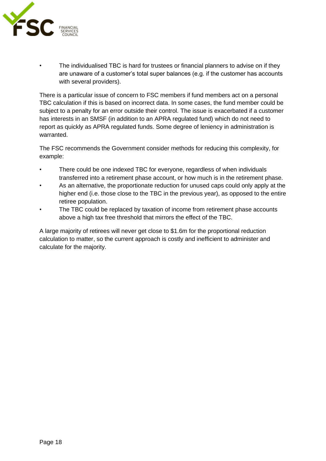

The individualised TBC is hard for trustees or financial planners to advise on if they are unaware of a customer's total super balances (e.g. if the customer has accounts with several providers).

There is a particular issue of concern to FSC members if fund members act on a personal TBC calculation if this is based on incorrect data. In some cases, the fund member could be subject to a penalty for an error outside their control. The issue is exacerbated if a customer has interests in an SMSF (in addition to an APRA regulated fund) which do not need to report as quickly as APRA regulated funds. Some degree of leniency in administration is warranted.

The FSC recommends the Government consider methods for reducing this complexity, for example:

- There could be one indexed TBC for everyone, regardless of when individuals transferred into a retirement phase account, or how much is in the retirement phase.
- As an alternative, the proportionate reduction for unused caps could only apply at the higher end (i.e. those close to the TBC in the previous year), as opposed to the entire retiree population.
- The TBC could be replaced by taxation of income from retirement phase accounts above a high tax free threshold that mirrors the effect of the TBC.

A large majority of retirees will never get close to \$1.6m for the proportional reduction calculation to matter, so the current approach is costly and inefficient to administer and calculate for the majority.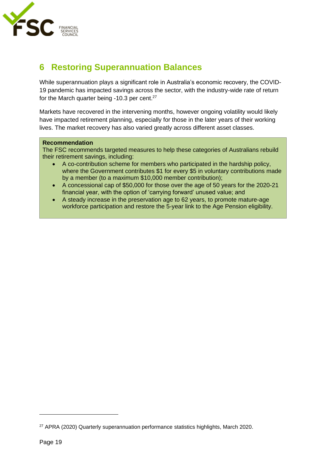

### <span id="page-18-0"></span>**6 Restoring Superannuation Balances**

While superannuation plays a significant role in Australia's economic recovery, the COVID-19 pandemic has impacted savings across the sector, with the industry-wide rate of return for the March quarter being -10.3 per cent.<sup>27</sup>

Markets have recovered in the intervening months, however ongoing volatility would likely have impacted retirement planning, especially for those in the later years of their working lives. The market recovery has also varied greatly across different asset classes.

#### **Recommendation**

The FSC recommends targeted measures to help these categories of Australians rebuild their retirement savings, including:

- A co-contribution scheme for members who participated in the hardship policy, where the Government contributes \$1 for every \$5 in voluntary contributions made by a member (to a maximum \$10,000 member contribution);
- A concessional cap of \$50,000 for those over the age of 50 years for the 2020-21 financial year, with the option of 'carrying forward' unused value; and
- A steady increase in the preservation age to 62 years, to promote mature-age workforce participation and restore the 5-year link to the Age Pension eligibility.

<sup>27</sup> APRA (2020) Quarterly superannuation performance statistics highlights, March 2020.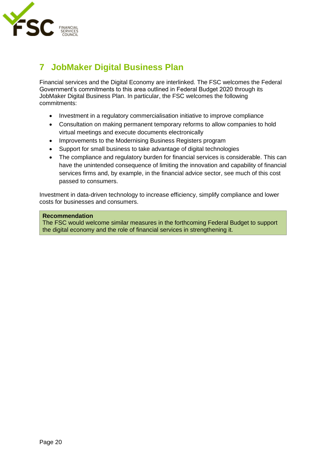

### <span id="page-19-0"></span>**7 JobMaker Digital Business Plan**

Financial services and the Digital Economy are interlinked. The FSC welcomes the Federal Government's commitments to this area outlined in Federal Budget 2020 through its JobMaker Digital Business Plan. In particular, the FSC welcomes the following commitments:

- Investment in a regulatory commercialisation initiative to improve compliance
- Consultation on making permanent temporary reforms to allow companies to hold virtual meetings and execute documents electronically
- Improvements to the Modernising Business Registers program
- Support for small business to take advantage of digital technologies
- The compliance and regulatory burden for financial services is considerable. This can have the unintended consequence of limiting the innovation and capability of financial services firms and, by example, in the financial advice sector, see much of this cost passed to consumers.

Investment in data-driven technology to increase efficiency, simplify compliance and lower costs for businesses and consumers.

#### **Recommendation**

The FSC would welcome similar measures in the forthcoming Federal Budget to support the digital economy and the role of financial services in strengthening it.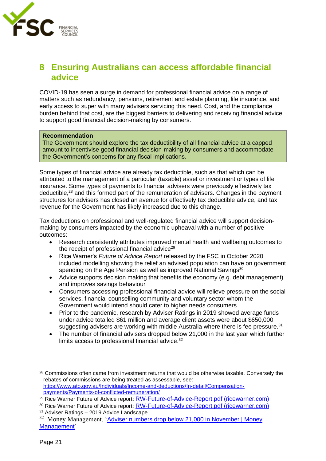

### <span id="page-20-0"></span>**8 Ensuring Australians can access affordable financial advice**

COVID-19 has seen a surge in demand for professional financial advice on a range of matters such as redundancy, pensions, retirement and estate planning, life insurance, and early access to super with many advisers servicing this need. Cost, and the compliance burden behind that cost, are the biggest barriers to delivering and receiving financial advice to support good financial decision-making by consumers.

#### **Recommendation**

The Government should explore the tax deductibility of all financial advice at a capped amount to incentivise good financial decision-making by consumers and accommodate the Government's concerns for any fiscal implications.

Some types of financial advice are already tax deductible, such as that which can be attributed to the management of a particular (taxable) asset or investment or types of life insurance. Some types of payments to financial advisers were previously effectively tax deductible,<sup>28</sup> and this formed part of the remuneration of advisers. Changes in the payment structures for advisers has closed an avenue for effectively tax deductible advice, and tax revenue for the Government has likely increased due to this change.

Tax deductions on professional and well-regulated financial advice will support decisionmaking by consumers impacted by the economic upheaval with a number of positive outcomes:

- Research consistently attributes improved mental health and wellbeing outcomes to the receipt of professional financial advice $29$
- Rice Warner's *Future of Advice Report* released by the FSC in October 2020 included modelling showing the relief an advised population can have on government spending on the Age Pension as well as improved National Savings<sup>30</sup>
- Advice supports decision making that benefits the economy (e.g. debt management) and improves savings behaviour
- Consumers accessing professional financial advice will relieve pressure on the social services, financial counselling community and voluntary sector whom the Government would intend should cater to higher needs consumers
- Prior to the pandemic, research by Adviser Ratings in 2019 showed average funds under advice totalled \$61 million and average client assets were about \$650,000 suggesting advisers are working with middle Australia where there is fee pressure.<sup>31</sup>
- The number of financial advisers dropped below 21,000 in the last year which further limits access to professional financial advice.<sup>32</sup>

<sup>31</sup> Adviser Ratings – 2019 Advice Landscape

<sup>&</sup>lt;sup>28</sup> Commissions often came from investment returns that would be otherwise taxable. Conversely the rebates of commissions are being treated as assessable, see: [https://www.ato.gov.au/Individuals/Income-and-deductions/In-detail/Compensation](https://www.ato.gov.au/Individuals/Income-and-deductions/In-detail/Compensation-payments/Payments-of-conflicted-remuneration/)[payments/Payments-of-conflicted-remuneration/](https://www.ato.gov.au/Individuals/Income-and-deductions/In-detail/Compensation-payments/Payments-of-conflicted-remuneration/)

<sup>&</sup>lt;sup>29</sup> Rice Warner Future of Advice report: [RW-Future-of-Advice-Report.pdf \(ricewarner.com\)](https://www.ricewarner.com/wp-content/uploads/2020/10/RW-Future-of-Advice-Report.pdf)

<sup>30</sup> Rice Warner Future of Advice report: [RW-Future-of-Advice-Report.pdf \(ricewarner.com\)](https://www.ricewarner.com/wp-content/uploads/2020/10/RW-Future-of-Advice-Report.pdf)

<sup>32</sup> Money Management. '[Adviser numbers drop below 21,000 in November | Money](https://www.moneymanagement.com.au/news/financial-planning/adviser-numbers-drop-below-21000-november)  [Management'](https://www.moneymanagement.com.au/news/financial-planning/adviser-numbers-drop-below-21000-november)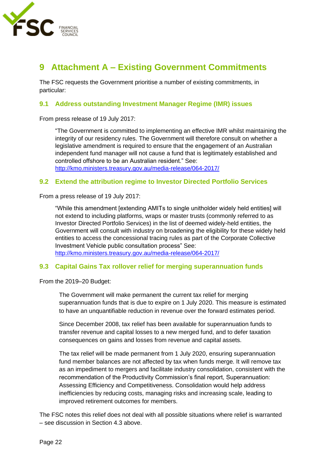

### <span id="page-21-0"></span>**9 Attachment A – Existing Government Commitments**

The FSC requests the Government prioritise a number of existing commitments, in particular:

#### <span id="page-21-1"></span>**9.1 Address outstanding Investment Manager Regime (IMR) issues**

From press release of 19 July 2017:

"The Government is committed to implementing an effective IMR whilst maintaining the integrity of our residency rules. The Government will therefore consult on whether a legislative amendment is required to ensure that the engagement of an Australian independent fund manager will not cause a fund that is legitimately established and controlled offshore to be an Australian resident." See: <http://kmo.ministers.treasury.gov.au/media-release/064-2017/>

### <span id="page-21-2"></span>**9.2 Extend the attribution regime to Investor Directed Portfolio Services**

From a press release of 19 July 2017:

"While this amendment [extending AMITs to single unitholder widely held entities] will not extend to including platforms, wraps or master trusts (commonly referred to as Investor Directed Portfolio Services) in the list of deemed widely-held entities, the Government will consult with industry on broadening the eligibility for these widely held entities to access the concessional tracing rules as part of the Corporate Collective Investment Vehicle public consultation process" See: <http://kmo.ministers.treasury.gov.au/media-release/064-2017/>

### <span id="page-21-3"></span>**9.3 Capital Gains Tax rollover relief for merging superannuation funds**

From the 2019–20 Budget:

The Government will make permanent the current tax relief for merging superannuation funds that is due to expire on 1 July 2020. This measure is estimated to have an unquantifiable reduction in revenue over the forward estimates period.

Since December 2008, tax relief has been available for superannuation funds to transfer revenue and capital losses to a new merged fund, and to defer taxation consequences on gains and losses from revenue and capital assets.

The tax relief will be made permanent from 1 July 2020, ensuring superannuation fund member balances are not affected by tax when funds merge. It will remove tax as an impediment to mergers and facilitate industry consolidation, consistent with the recommendation of the Productivity Commission's final report, Superannuation: Assessing Efficiency and Competitiveness. Consolidation would help address inefficiencies by reducing costs, managing risks and increasing scale, leading to improved retirement outcomes for members.

The FSC notes this relief does not deal with all possible situations where relief is warranted – see discussion in Section [4.3 above.](#page-9-0)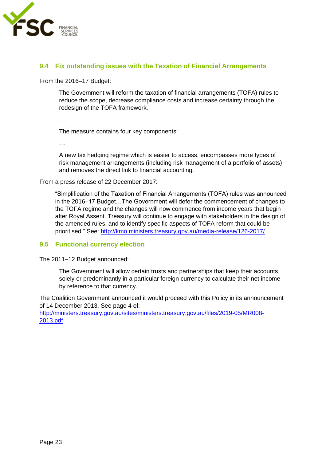

### <span id="page-22-0"></span>**9.4 Fix outstanding issues with the Taxation of Financial Arrangements**

From the 2016–17 Budget:

The Government will reform the taxation of financial arrangements (TOFA) rules to reduce the scope, decrease compliance costs and increase certainty through the redesign of the TOFA framework.

…

The measure contains four key components:

…

A new tax hedging regime which is easier to access, encompasses more types of risk management arrangements (including risk management of a portfolio of assets) and removes the direct link to financial accounting.

From a press release of 22 December 2017:

"Simplification of the Taxation of Financial Arrangements (TOFA) rules was announced in the 2016–17 Budget…The Government will defer the commencement of changes to the TOFA regime and the changes will now commence from income years that begin after Royal Assent. Treasury will continue to engage with stakeholders in the design of the amended rules, and to identify specific aspects of TOFA reform that could be prioritised." See:<http://kmo.ministers.treasury.gov.au/media-release/126-2017/>

### <span id="page-22-1"></span>**9.5 Functional currency election**

The 2011–12 Budget announced:

The Government will allow certain trusts and partnerships that keep their accounts solely or predominantly in a particular foreign currency to calculate their net income by reference to that currency.

The Coalition Government announced it would proceed with this Policy in its announcement of 14 December 2013. See page 4 of:

[http://ministers.treasury.gov.au/sites/ministers.treasury.gov.au/files/2019-05/MR008-](http://ministers.treasury.gov.au/sites/ministers.treasury.gov.au/files/2019-05/MR008-2013.pdf) [2013.pdf](http://ministers.treasury.gov.au/sites/ministers.treasury.gov.au/files/2019-05/MR008-2013.pdf)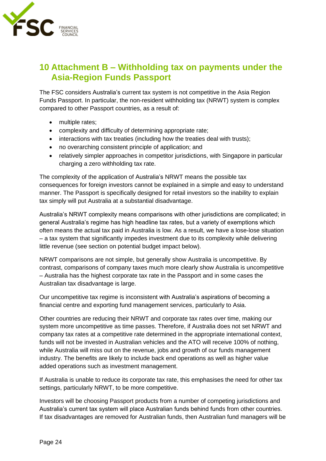

### <span id="page-23-0"></span>**10 Attachment B – Withholding tax on payments under the Asia-Region Funds Passport**

The FSC considers Australia's current tax system is not competitive in the Asia Region Funds Passport. In particular, the non-resident withholding tax (NRWT) system is complex compared to other Passport countries, as a result of:

- multiple rates;
- complexity and difficulty of determining appropriate rate;
- interactions with tax treaties (including how the treaties deal with trusts);
- no overarching consistent principle of application; and
- relatively simpler approaches in competitor jurisdictions, with Singapore in particular charging a zero withholding tax rate.

The complexity of the application of Australia's NRWT means the possible tax consequences for foreign investors cannot be explained in a simple and easy to understand manner. The Passport is specifically designed for retail investors so the inability to explain tax simply will put Australia at a substantial disadvantage.

Australia's NRWT complexity means comparisons with other jurisdictions are complicated; in general Australia's regime has high headline tax rates, but a variety of exemptions which often means the actual tax paid in Australia is low. As a result, we have a lose-lose situation – a tax system that significantly impedes investment due to its complexity while delivering little revenue (see section on potential budget impact below).

NRWT comparisons are not simple, but generally show Australia is uncompetitive. By contrast, comparisons of company taxes much more clearly show Australia is uncompetitive – Australia has the highest corporate tax rate in the Passport and in some cases the Australian tax disadvantage is large.

Our uncompetitive tax regime is inconsistent with Australia's aspirations of becoming a financial centre and exporting fund management services, particularly to Asia.

Other countries are reducing their NRWT and corporate tax rates over time, making our system more uncompetitive as time passes. Therefore, if Australia does not set NRWT and company tax rates at a competitive rate determined in the appropriate international context, funds will not be invested in Australian vehicles and the ATO will receive 100% of nothing, while Australia will miss out on the revenue, jobs and growth of our funds management industry. The benefits are likely to include back end operations as well as higher value added operations such as investment management.

If Australia is unable to reduce its corporate tax rate, this emphasises the need for other tax settings, particularly NRWT, to be more competitive.

Investors will be choosing Passport products from a number of competing jurisdictions and Australia's current tax system will place Australian funds behind funds from other countries. If tax disadvantages are removed for Australian funds, then Australian fund managers will be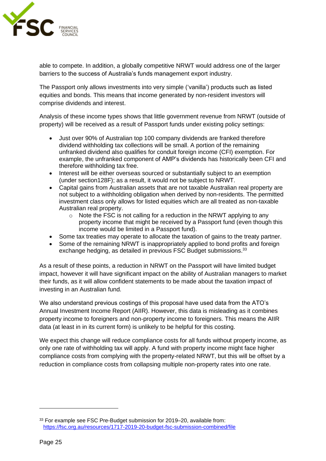

able to compete. In addition, a globally competitive NRWT would address one of the larger barriers to the success of Australia's funds management export industry.

The Passport only allows investments into very simple ('vanilla') products such as listed equities and bonds. This means that income generated by non-resident investors will comprise dividends and interest.

Analysis of these income types shows that little government revenue from NRWT (outside of property) will be received as a result of Passport funds under existing policy settings:

- Just over 90% of Australian top 100 company dividends are franked therefore dividend withholding tax collections will be small. A portion of the remaining unfranked dividend also qualifies for conduit foreign income (CFI) exemption. For example, the unfranked component of AMP's dividends has historically been CFI and therefore withholding tax free.
- Interest will be either overseas sourced or substantially subject to an exemption (under section128F); as a result, it would not be subject to NRWT.
- Capital gains from Australian assets that are not taxable Australian real property are not subject to a withholding obligation when derived by non-residents. The permitted investment class only allows for listed equities which are all treated as non-taxable Australian real property.
	- $\circ$  Note the FSC is not calling for a reduction in the NRWT applying to any property income that might be received by a Passport fund (even though this income would be limited in a Passport fund).
- Some tax treaties may operate to allocate the taxation of gains to the treaty partner.
- Some of the remaining NRWT is inappropriately applied to bond profits and foreign exchange hedging, as detailed in previous FSC Budget submissions.<sup>33</sup>

As a result of these points, a reduction in NRWT on the Passport will have limited budget impact, however it will have significant impact on the ability of Australian managers to market their funds, as it will allow confident statements to be made about the taxation impact of investing in an Australian fund.

We also understand previous costings of this proposal have used data from the ATO's Annual Investment Income Report (AIIR). However, this data is misleading as it combines property income to foreigners and non-property income to foreigners. This means the AIIR data (at least in in its current form) is unlikely to be helpful for this costing.

We expect this change will reduce compliance costs for all funds without property income, as only one rate of withholding tax will apply. A fund with property income might face higher compliance costs from complying with the property-related NRWT, but this will be offset by a reduction in compliance costs from collapsing multiple non-property rates into one rate.

<sup>33</sup> For example see FSC Pre-Budget submission for 2019–20, available from: <https://fsc.org.au/resources/1717-2019-20-budget-fsc-submission-combined/file>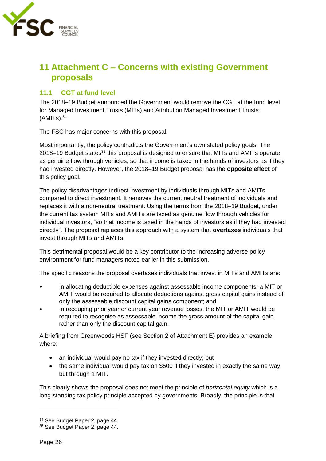

### <span id="page-25-0"></span>**11 Attachment C – Concerns with existing Government proposals**

### <span id="page-25-1"></span>**11.1 CGT at fund level**

The 2018–19 Budget announced the Government would remove the CGT at the fund level for Managed Investment Trusts (MITs) and Attribution Managed Investment Trusts  $(AMITS).<sup>34</sup>$ 

The FSC has major concerns with this proposal.

Most importantly, the policy contradicts the Government's own stated policy goals. The 2018–19 Budget states<sup>35</sup> this proposal is designed to ensure that MITs and AMITs operate as genuine flow through vehicles, so that income is taxed in the hands of investors as if they had invested directly. However, the 2018–19 Budget proposal has the **opposite effect** of this policy goal.

The policy disadvantages indirect investment by individuals through MITs and AMITs compared to direct investment. It removes the current neutral treatment of individuals and replaces it with a non-neutral treatment. Using the terms from the 2018–19 Budget, under the current tax system MITs and AMITs are taxed as genuine flow through vehicles for individual investors, "so that income is taxed in the hands of investors as if they had invested directly". The proposal replaces this approach with a system that **overtaxes** individuals that invest through MITs and AMITs.

This detrimental proposal would be a key contributor to the increasing adverse policy environment for fund managers noted earlier in this submission.

The specific reasons the proposal overtaxes individuals that invest in MITs and AMITs are:

- In allocating deductible expenses against assessable income components, a MIT or AMIT would be required to allocate deductions against gross capital gains instead of only the assessable discount capital gains component; and
- In recouping prior year or current year revenue losses, the MIT or AMIT would be required to recognise as assessable income the gross amount of the capital gain rather than only the discount capital gain.

A briefing from Greenwoods HSF (see Section 2 of Attachment E) provides an example where:

- an individual would pay no tax if they invested directly; but
- the same individual would pay tax on \$500 if they invested in exactly the same way, but through a MIT.

This clearly shows the proposal does not meet the principle of *horizontal equity* which is a long-standing tax policy principle accepted by governments. Broadly, the principle is that

<sup>34</sup> See Budget Paper 2, page 44.

<sup>35</sup> See Budget Paper 2, page 44.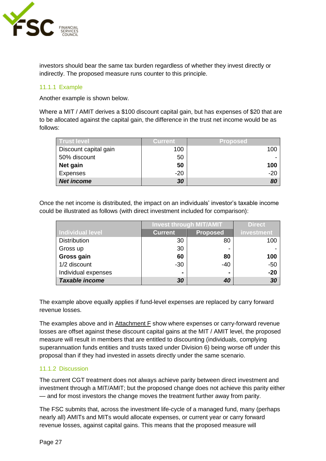

investors should bear the same tax burden regardless of whether they invest directly or indirectly. The proposed measure runs counter to this principle.

### <span id="page-26-0"></span>11.1.1 Example

Another example is shown below.

Where a MIT / AMIT derives a \$100 discount capital gain, but has expenses of \$20 that are to be allocated against the capital gain, the difference in the trust net income would be as follows:

| Trust level           | <b>Current</b> | <b>Proposed</b> |
|-----------------------|----------------|-----------------|
| Discount capital gain | 100            | 100             |
| 50% discount          | 50             |                 |
| Net gain              | 50             | 100             |
| <b>Expenses</b>       | $-20$          | $-20$           |
| <b>Net income</b>     | 30             | 80              |

Once the net income is distributed, the impact on an individuals' investor's taxable income could be illustrated as follows (with direct investment included for comparison):

|                         | <b>Invest through MIT/AMIT</b> |                 | <b>Direct</b> |
|-------------------------|--------------------------------|-----------------|---------------|
| <b>Individual level</b> | <b>Current</b>                 | <b>Proposed</b> | investment    |
| <b>Distribution</b>     | 30                             | 80              | 100           |
| Gross up                | 30                             |                 |               |
| Gross gain              | 60                             | 80              | 100           |
| 1/2 discount            | $-30$                          | $-40$           | $-50$         |
| Individual expenses     | ۰                              |                 | $-20$         |
| <b>Taxable income</b>   | 30                             | 40              | 30            |

The example above equally applies if fund-level expenses are replaced by carry forward revenue losses.

The examples above and in Attachment F show where expenses or carry-forward revenue losses are offset against these discount capital gains at the MIT / AMIT level, the proposed measure will result in members that are entitled to discounting (individuals, complying superannuation funds entities and trusts taxed under Division 6) being worse off under this proposal than if they had invested in assets directly under the same scenario.

### <span id="page-26-1"></span>11.1.2 Discussion

The current CGT treatment does not always achieve parity between direct investment and investment through a MIT/AMIT; but the proposed change does not achieve this parity either — and for most investors the change moves the treatment further away from parity.

The FSC submits that, across the investment life-cycle of a managed fund, many (perhaps nearly all) AMITs and MITs would allocate expenses, or current year or carry forward revenue losses, against capital gains. This means that the proposed measure will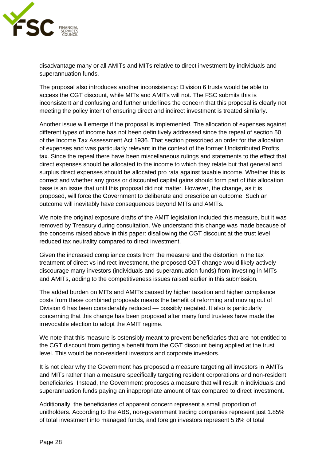

disadvantage many or all AMITs and MITs relative to direct investment by individuals and superannuation funds.

The proposal also introduces another inconsistency: Division 6 trusts would be able to access the CGT discount, while MITs and AMITs will not. The FSC submits this is inconsistent and confusing and further underlines the concern that this proposal is clearly not meeting the policy intent of ensuring direct and indirect investment is treated similarly.

Another issue will emerge if the proposal is implemented. The allocation of expenses against different types of income has not been definitively addressed since the repeal of section 50 of the Income Tax Assessment Act 1936. That section prescribed an order for the allocation of expenses and was particularly relevant in the context of the former Undistributed Profits tax. Since the repeal there have been miscellaneous rulings and statements to the effect that direct expenses should be allocated to the income to which they relate but that general and surplus direct expenses should be allocated pro rata against taxable income. Whether this is correct and whether any gross or discounted capital gains should form part of this allocation base is an issue that until this proposal did not matter. However, the change, as it is proposed, will force the Government to deliberate and prescribe an outcome. Such an outcome will inevitably have consequences beyond MITs and AMITs.

We note the original exposure drafts of the AMIT legislation included this measure, but it was removed by Treasury during consultation. We understand this change was made because of the concerns raised above in this paper: disallowing the CGT discount at the trust level reduced tax neutrality compared to direct investment.

Given the increased compliance costs from the measure and the distortion in the tax treatment of direct vs indirect investment, the proposed CGT change would likely actively discourage many investors (individuals and superannuation funds) from investing in MITs and AMITs, adding to the competitiveness issues raised earlier in this submission.

The added burden on MITs and AMITs caused by higher taxation and higher compliance costs from these combined proposals means the benefit of reforming and moving out of Division 6 has been considerably reduced — possibly negated. It also is particularly concerning that this change has been proposed after many fund trustees have made the irrevocable election to adopt the AMIT regime.

We note that this measure is ostensibly meant to prevent beneficiaries that are not entitled to the CGT discount from getting a benefit from the CGT discount being applied at the trust level. This would be non-resident investors and corporate investors.

It is not clear why the Government has proposed a measure targeting all investors in AMITs and MITs rather than a measure specifically targeting resident corporations and non-resident beneficiaries. Instead, the Government proposes a measure that will result in individuals and superannuation funds paying an inappropriate amount of tax compared to direct investment.

Additionally, the beneficiaries of apparent concern represent a small proportion of unitholders. According to the ABS, non-government trading companies represent just 1.85% of total investment into managed funds, and foreign investors represent 5.8% of total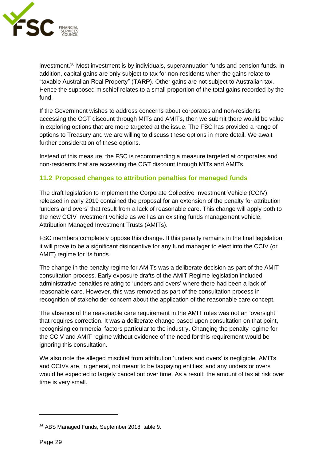

investment.<sup>36</sup> Most investment is by individuals, superannuation funds and pension funds. In addition, capital gains are only subject to tax for non-residents when the gains relate to "taxable Australian Real Property" (**TARP**). Other gains are not subject to Australian tax. Hence the supposed mischief relates to a small proportion of the total gains recorded by the fund.

If the Government wishes to address concerns about corporates and non-residents accessing the CGT discount through MITs and AMITs, then we submit there would be value in exploring options that are more targeted at the issue. The FSC has provided a range of options to Treasury and we are willing to discuss these options in more detail. We await further consideration of these options.

Instead of this measure, the FSC is recommending a measure targeted at corporates and non-residents that are accessing the CGT discount through MITs and AMITs.

### <span id="page-28-0"></span>**11.2 Proposed changes to attribution penalties for managed funds**

The draft legislation to implement the Corporate Collective Investment Vehicle (CCIV) released in early 2019 contained the proposal for an extension of the penalty for attribution 'unders and overs' that result from a lack of reasonable care. This change will apply both to the new CCIV investment vehicle as well as an existing funds management vehicle, Attribution Managed Investment Trusts (AMITs).

FSC members completely oppose this change. If this penalty remains in the final legislation, it will prove to be a significant disincentive for any fund manager to elect into the CCIV (or AMIT) regime for its funds.

The change in the penalty regime for AMITs was a deliberate decision as part of the AMIT consultation process. Early exposure drafts of the AMIT Regime legislation included administrative penalties relating to 'unders and overs' where there had been a lack of reasonable care. However, this was removed as part of the consultation process in recognition of stakeholder concern about the application of the reasonable care concept.

The absence of the reasonable care requirement in the AMIT rules was not an 'oversight' that requires correction. It was a deliberate change based upon consultation on that point, recognising commercial factors particular to the industry. Changing the penalty regime for the CCIV and AMIT regime without evidence of the need for this requirement would be ignoring this consultation.

We also note the alleged mischief from attribution 'unders and overs' is negligible. AMITs and CCIVs are, in general, not meant to be taxpaying entities; and any unders or overs would be expected to largely cancel out over time. As a result, the amount of tax at risk over time is very small.

<sup>36</sup> ABS Managed Funds, September 2018, table 9.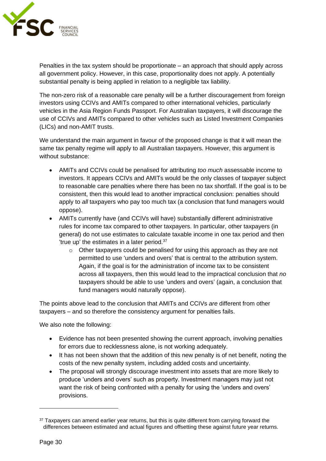

Penalties in the tax system should be proportionate – an approach that should apply across all government policy. However, in this case, proportionality does not apply. A potentially substantial penalty is being applied in relation to a negligible tax liability.

The non-zero risk of a reasonable care penalty will be a further discouragement from foreign investors using CCIVs and AMITs compared to other international vehicles, particularly vehicles in the Asia Region Funds Passport. For Australian taxpayers, it will discourage the use of CCIVs and AMITs compared to other vehicles such as Listed Investment Companies (LICs) and non-AMIT trusts.

We understand the main argument in favour of the proposed change is that it will mean the same tax penalty regime will apply to all Australian taxpayers. However, this argument is without substance:

- AMITs and CCIVs could be penalised for attributing *too much* assessable income to investors. It appears CCIVs and AMITs would be the only classes of taxpayer subject to reasonable care penalties where there has been no tax shortfall. If the goal is to be consistent, then this would lead to another impractical conclusion: penalties should apply to *all* taxpayers who pay too much tax (a conclusion that fund managers would oppose).
- AMITs currently have (and CCIVs will have) substantially different administrative rules for income tax compared to other taxpayers. In particular, other taxpayers (in general) do not use estimates to calculate taxable income in one tax period and then 'true up' the estimates in a later period.<sup>37</sup>
	- $\circ$  Other taxpayers could be penalised for using this approach as they are not permitted to use 'unders and overs' that is central to the attribution system. Again, if the goal is for the administration of income tax to be consistent across all taxpayers, then this would lead to the impractical conclusion that *no* taxpayers should be able to use 'unders and overs' (again, a conclusion that fund managers would naturally oppose).

The points above lead to the conclusion that AMITs and CCIVs *are* different from other taxpayers – and so therefore the consistency argument for penalties fails.

We also note the following:

- Evidence has not been presented showing the current approach, involving penalties for errors due to recklessness alone, is not working adequately.
- It has not been shown that the addition of this new penalty is of net benefit, noting the costs of the new penalty system, including added costs and uncertainty.
- The proposal will strongly discourage investment into assets that are more likely to produce 'unders and overs' such as property. Investment managers may just not want the risk of being confronted with a penalty for using the 'unders and overs' provisions.

<sup>&</sup>lt;sup>37</sup> Taxpayers can amend earlier year returns, but this is quite different from carrying forward the differences between estimated and actual figures and offsetting these against future year returns.